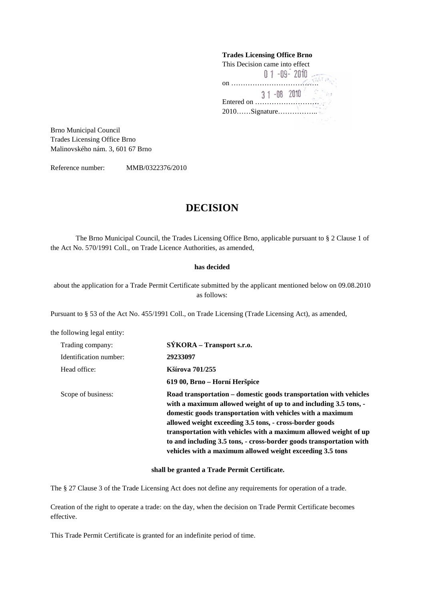# **Trades Licensing Office Brno**  This Decision came into effect on ………………………………. **Sea** Entered on ……………………… 2010……Signature……………..

Brno Municipal Council Trades Licensing Office Brno Malinovského nám. 3, 601 67 Brno

Reference number: MMB/0322376/2010

## **DECISION**

The Brno Municipal Council, the Trades Licensing Office Brno, applicable pursuant to § 2 Clause 1 of the Act No. 570/1991 Coll., on Trade Licence Authorities, as amended,

### **has decided**

about the application for a Trade Permit Certificate submitted by the applicant mentioned below on 09.08.2010 as follows:

Pursuant to § 53 of the Act No. 455/1991 Coll., on Trade Licensing (Trade Licensing Act), as amended,

the following legal entity:

| Trading company:       | SÝKORA – Transport s.r.o.                                                                                                                                                                                                                                                                                                                                                                                                                                              |
|------------------------|------------------------------------------------------------------------------------------------------------------------------------------------------------------------------------------------------------------------------------------------------------------------------------------------------------------------------------------------------------------------------------------------------------------------------------------------------------------------|
| Identification number: | 29233097                                                                                                                                                                                                                                                                                                                                                                                                                                                               |
| Head office:           | Kšírova 701/255                                                                                                                                                                                                                                                                                                                                                                                                                                                        |
|                        | 619 00, Brno – Horní Heršpice                                                                                                                                                                                                                                                                                                                                                                                                                                          |
| Scope of business:     | Road transportation – domestic goods transportation with vehicles<br>with a maximum allowed weight of up to and including 3.5 tons, -<br>domestic goods transportation with vehicles with a maximum<br>allowed weight exceeding 3.5 tons, - cross-border goods<br>transportation with vehicles with a maximum allowed weight of up<br>to and including 3.5 tons, - cross-border goods transportation with<br>vehicles with a maximum allowed weight exceeding 3.5 tons |

#### **shall be granted a Trade Permit Certificate.**

The § 27 Clause 3 of the Trade Licensing Act does not define any requirements for operation of a trade.

Creation of the right to operate a trade: on the day, when the decision on Trade Permit Certificate becomes effective.

This Trade Permit Certificate is granted for an indefinite period of time.